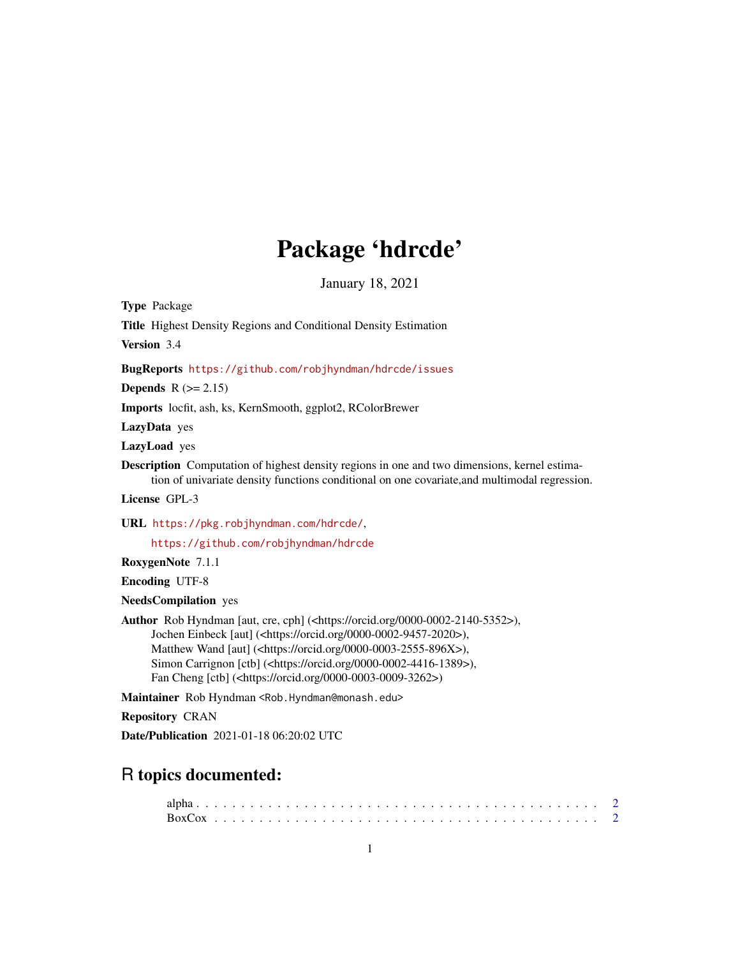# Package 'hdrcde'

January 18, 2021

<span id="page-0-0"></span>Type Package

Title Highest Density Regions and Conditional Density Estimation

Version 3.4

BugReports <https://github.com/robjhyndman/hdrcde/issues>

**Depends**  $R$  ( $>= 2.15$ )

Imports locfit, ash, ks, KernSmooth, ggplot2, RColorBrewer

LazyData yes

LazyLoad yes

Description Computation of highest density regions in one and two dimensions, kernel estimation of univariate density functions conditional on one covariate,and multimodal regression.

License GPL-3

URL <https://pkg.robjhyndman.com/hdrcde/>,

<https://github.com/robjhyndman/hdrcde>

RoxygenNote 7.1.1

Encoding UTF-8

NeedsCompilation yes

Author Rob Hyndman [aut, cre, cph] (<https://orcid.org/0000-0002-2140-5352>), Jochen Einbeck [aut] (<https://orcid.org/0000-0002-9457-2020>), Matthew Wand [aut] (<https://orcid.org/0000-0003-2555-896X>), Simon Carrignon [ctb] (<https://orcid.org/0000-0002-4416-1389>), Fan Cheng [ctb] (<https://orcid.org/0000-0003-0009-3262>)

Maintainer Rob Hyndman <Rob.Hyndman@monash.edu>

Repository CRAN

Date/Publication 2021-01-18 06:20:02 UTC

# R topics documented: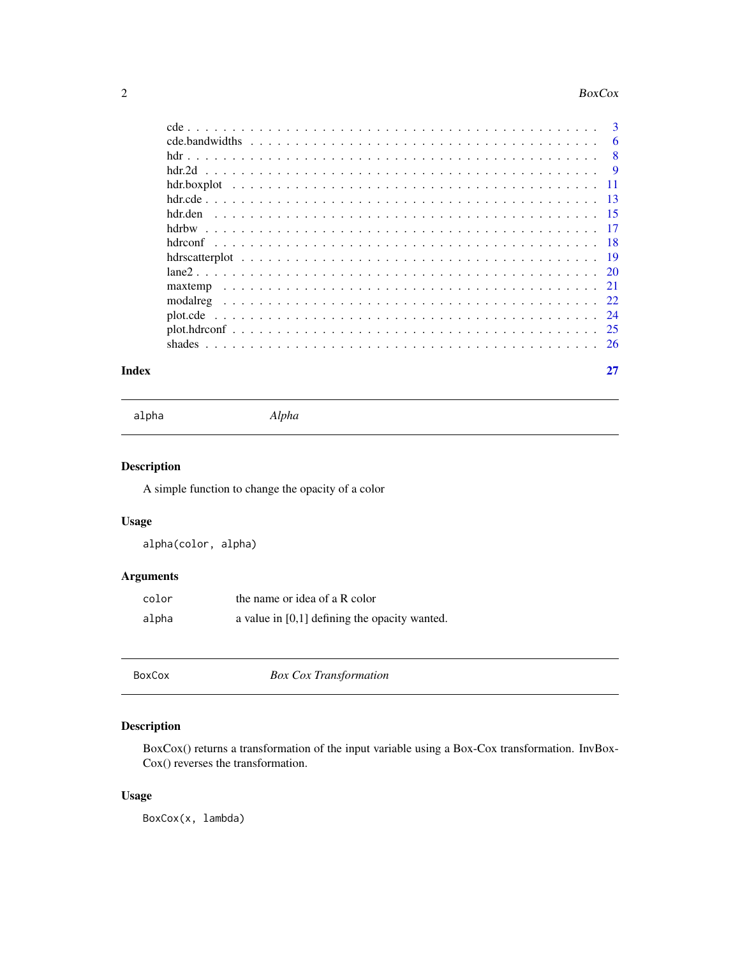#### <span id="page-1-0"></span> $2\sigma$  BoxCox

|         | 6              |
|---------|----------------|
|         | $\overline{8}$ |
|         | - 9            |
|         |                |
|         |                |
| hdr.den |                |
|         |                |
|         |                |
|         |                |
|         |                |
|         |                |
|         |                |
|         |                |
|         |                |
|         |                |
|         |                |

#### **Index** [27](#page-26-0)

alpha *Alpha*

# Description

A simple function to change the opacity of a color

# Usage

alpha(color, alpha)

# Arguments

| color | the name or idea of a R color                   |
|-------|-------------------------------------------------|
| alpha | a value in $[0,1]$ defining the opacity wanted. |

BoxCox *Box Cox Transformation*

# Description

BoxCox() returns a transformation of the input variable using a Box-Cox transformation. InvBox-Cox() reverses the transformation.

# Usage

BoxCox(x, lambda)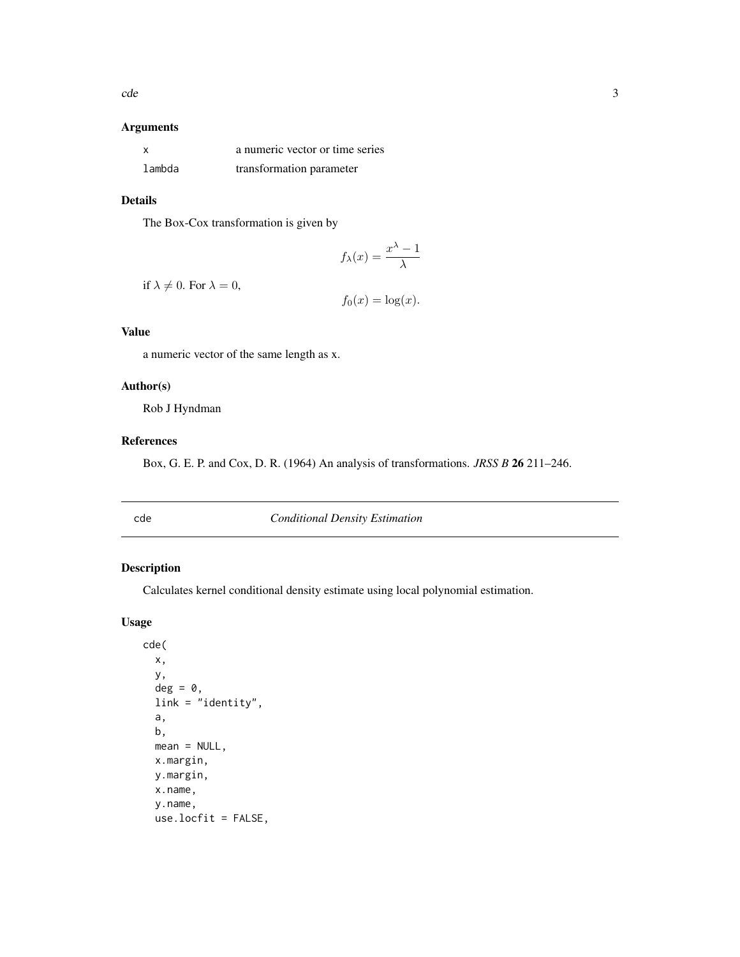# <span id="page-2-0"></span>Arguments

|        | a numeric vector or time series |
|--------|---------------------------------|
| lambda | transformation parameter        |

# Details

The Box-Cox transformation is given by

$$
f_{\lambda}(x) = \frac{x^{\lambda} - 1}{\lambda}
$$

if  $\lambda \neq 0$ . For  $\lambda = 0$ ,

$$
f_0(x) = \log(x).
$$

#### Value

a numeric vector of the same length as x.

# Author(s)

Rob J Hyndman

#### References

Box, G. E. P. and Cox, D. R. (1964) An analysis of transformations. *JRSS B* 26 211–246.

<span id="page-2-1"></span>cde *Conditional Density Estimation*

# Description

Calculates kernel conditional density estimate using local polynomial estimation.

# Usage

```
cde(
 x,
 y,
 deg = 0,
 link = "identity",
  a,
 b,
 mean = NULL,x.margin,
 y.margin,
 x.name,
 y.name,
  use.locfit = FALSE,
```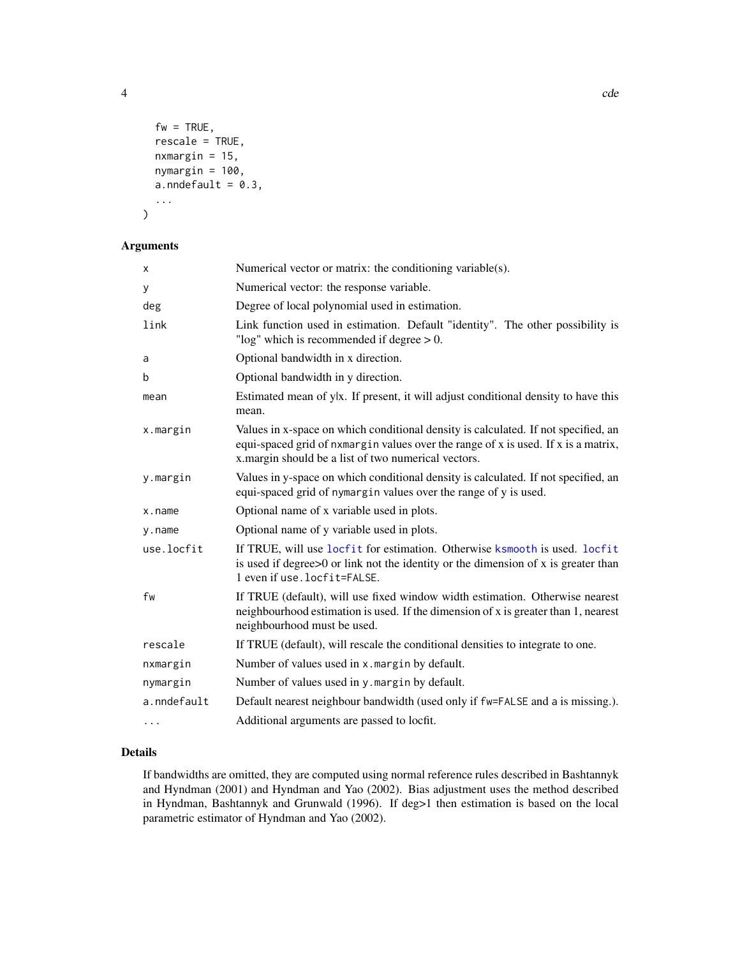$fw = TRUE,$ rescale = TRUE, nxmargin =  $15$ , nymargin = 100,  $a.$ nndefault = 0.3, ... )

# Arguments

| x           | Numerical vector or matrix: the conditioning variable(s).                                                                                                                                                                       |
|-------------|---------------------------------------------------------------------------------------------------------------------------------------------------------------------------------------------------------------------------------|
| у           | Numerical vector: the response variable.                                                                                                                                                                                        |
| deg         | Degree of local polynomial used in estimation.                                                                                                                                                                                  |
| link        | Link function used in estimation. Default "identity". The other possibility is<br>"log" which is recommended if degree $> 0$ .                                                                                                  |
| a           | Optional bandwidth in x direction.                                                                                                                                                                                              |
| b           | Optional bandwidth in y direction.                                                                                                                                                                                              |
| mean        | Estimated mean of ylx. If present, it will adjust conditional density to have this<br>mean.                                                                                                                                     |
| x.margin    | Values in x-space on which conditional density is calculated. If not specified, an<br>equi-spaced grid of nxmargin values over the range of x is used. If x is a matrix,<br>x.margin should be a list of two numerical vectors. |
| y.margin    | Values in y-space on which conditional density is calculated. If not specified, an<br>equi-spaced grid of nymargin values over the range of y is used.                                                                          |
| x.name      | Optional name of x variable used in plots.                                                                                                                                                                                      |
| y.name      | Optional name of y variable used in plots.                                                                                                                                                                                      |
| use.locfit  | If TRUE, will use locfit for estimation. Otherwise ksmooth is used. locfit<br>is used if degree $>0$ or link not the identity or the dimension of x is greater than<br>1 even if use.locfit=FALSE.                              |
| fw          | If TRUE (default), will use fixed window width estimation. Otherwise nearest<br>neighbourhood estimation is used. If the dimension of x is greater than 1, nearest<br>neighbourhood must be used.                               |
| rescale     | If TRUE (default), will rescale the conditional densities to integrate to one.                                                                                                                                                  |
| nxmargin    | Number of values used in x. margin by default.                                                                                                                                                                                  |
| nymargin    | Number of values used in y. margin by default.                                                                                                                                                                                  |
| a.nndefault | Default nearest neighbour bandwidth (used only if fw=FALSE and a is missing.).                                                                                                                                                  |
| $\cdots$    | Additional arguments are passed to locfit.                                                                                                                                                                                      |

# Details

If bandwidths are omitted, they are computed using normal reference rules described in Bashtannyk and Hyndman (2001) and Hyndman and Yao (2002). Bias adjustment uses the method described in Hyndman, Bashtannyk and Grunwald (1996). If deg>1 then estimation is based on the local parametric estimator of Hyndman and Yao (2002).

<span id="page-3-0"></span>4 cde contract to the contract of the contract of the contract of the contract of the contract of the contract of the contract of the contract of the contract of the contract of the contract of the contract of the contract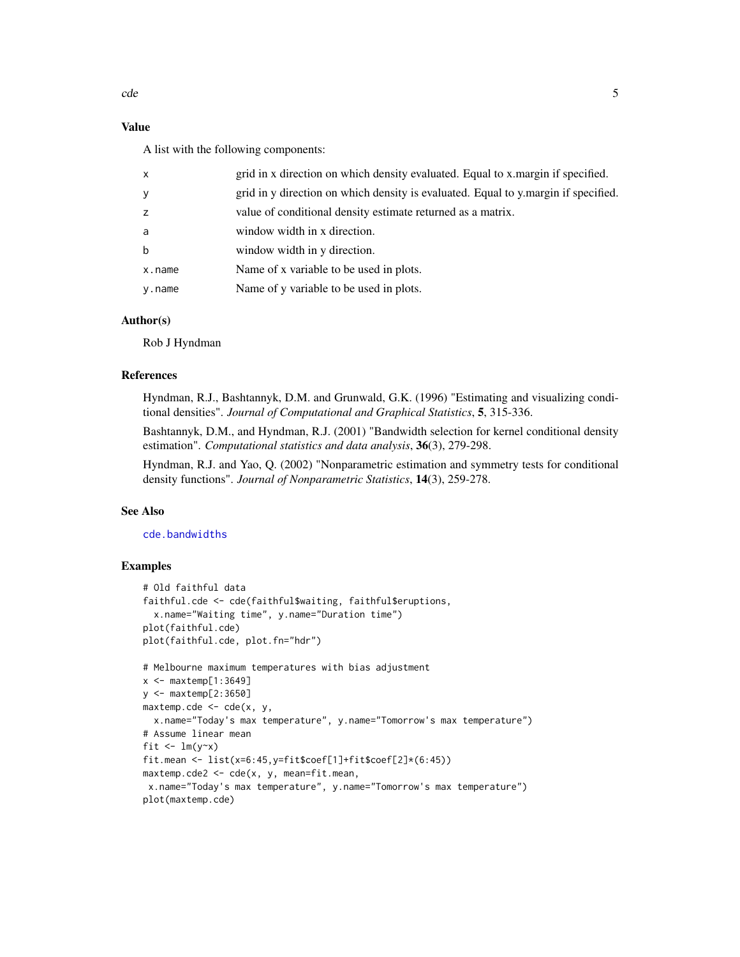# <span id="page-4-0"></span>Value

A list with the following components:

| X           | grid in x direction on which density evaluated. Equal to x margin if specified.    |
|-------------|------------------------------------------------------------------------------------|
| У           | grid in y direction on which density is evaluated. Equal to y margin if specified. |
| z           | value of conditional density estimate returned as a matrix.                        |
| a           | window width in x direction.                                                       |
| $\mathbf b$ | window width in y direction.                                                       |
| x.name      | Name of x variable to be used in plots.                                            |
| y.name      | Name of y variable to be used in plots.                                            |
|             |                                                                                    |

# Author(s)

Rob J Hyndman

#### References

Hyndman, R.J., Bashtannyk, D.M. and Grunwald, G.K. (1996) "Estimating and visualizing conditional densities". *Journal of Computational and Graphical Statistics*, 5, 315-336.

Bashtannyk, D.M., and Hyndman, R.J. (2001) "Bandwidth selection for kernel conditional density estimation". *Computational statistics and data analysis*, 36(3), 279-298.

Hyndman, R.J. and Yao, Q. (2002) "Nonparametric estimation and symmetry tests for conditional density functions". *Journal of Nonparametric Statistics*, 14(3), 259-278.

# See Also

[cde.bandwidths](#page-5-1)

# **Examples**

```
# Old faithful data
faithful.cde <- cde(faithful$waiting, faithful$eruptions,
  x.name="Waiting time", y.name="Duration time")
plot(faithful.cde)
plot(faithful.cde, plot.fn="hdr")
# Melbourne maximum temperatures with bias adjustment
x \leq - maxtemp[1:3649]
y <- maxtemp[2:3650]
maxtemp.cde <- cde(x, y,
  x.name="Today's max temperature", y.name="Tomorrow's max temperature")
# Assume linear mean
fit \leftarrow \text{lm}(y \sim x)fit.mean <- list(x=6:45,y=fit$coef[1]+fit$coef[2]*(6:45))
maxtemp. cde2 < - cde(x, y, mean = fit. mean,
 x.name="Today's max temperature", y.name="Tomorrow's max temperature")
plot(maxtemp.cde)
```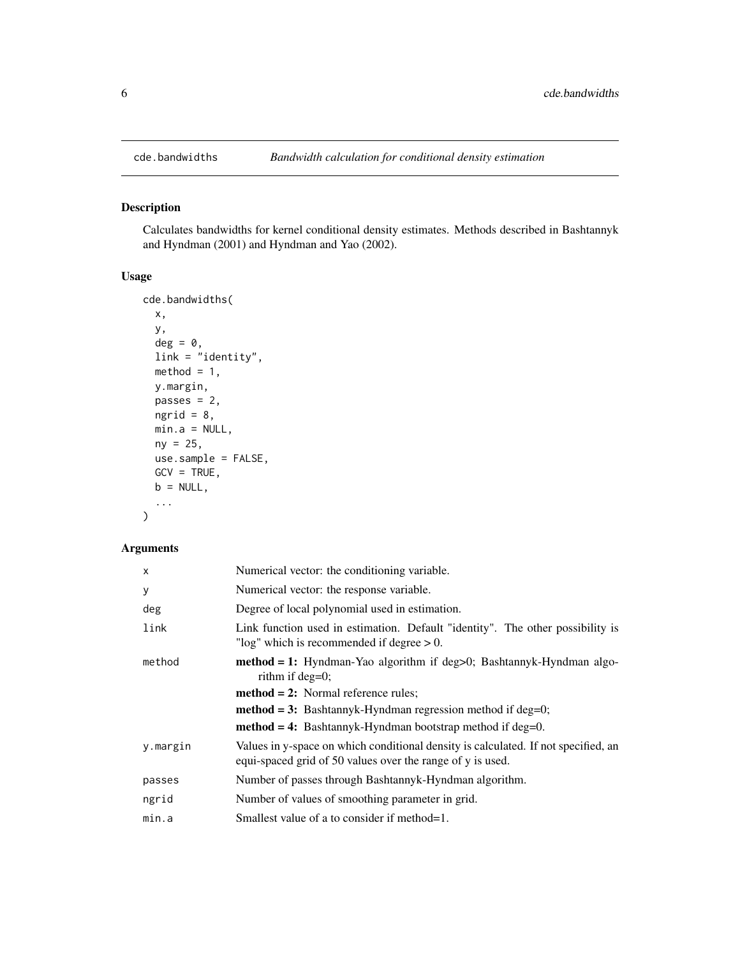# Description

Calculates bandwidths for kernel conditional density estimates. Methods described in Bashtannyk and Hyndman (2001) and Hyndman and Yao (2002).

#### Usage

```
cde.bandwidths(
 x,
 y,
 deg = 0,
 link = "identity",
 method = 1,y.margin,
 passes = 2,
 ngrid = 8,min.a = NULL,ny = 25,use.sample = FALSE,
 GCV = TRUE,b = NULL,...
)
```

| $\times$ | Numerical vector: the conditioning variable.                                                                                                     |
|----------|--------------------------------------------------------------------------------------------------------------------------------------------------|
| У        | Numerical vector: the response variable.                                                                                                         |
| deg      | Degree of local polynomial used in estimation.                                                                                                   |
| link     | Link function used in estimation. Default "identity". The other possibility is<br>" $log$ " which is recommended if degree $> 0$ .               |
| method   | $method = 1$ : Hyndman-Yao algorithm if deg $>0$ ; Bashtannyk-Hyndman algo-<br>rithm if $deg=0$ ;                                                |
|          | $method = 2$ : Normal reference rules;                                                                                                           |
|          | $method = 3$ : Bashtannyk-Hyndman regression method if deg=0;                                                                                    |
|          | $method = 4$ : Bashtannyk-Hyndman bootstrap method if deg=0.                                                                                     |
| y.margin | Values in y-space on which conditional density is calculated. If not specified, an<br>equi-spaced grid of 50 values over the range of y is used. |
| passes   | Number of passes through Bashtannyk-Hyndman algorithm.                                                                                           |
| ngrid    | Number of values of smoothing parameter in grid.                                                                                                 |
| min.a    | Smallest value of a to consider if method=1.                                                                                                     |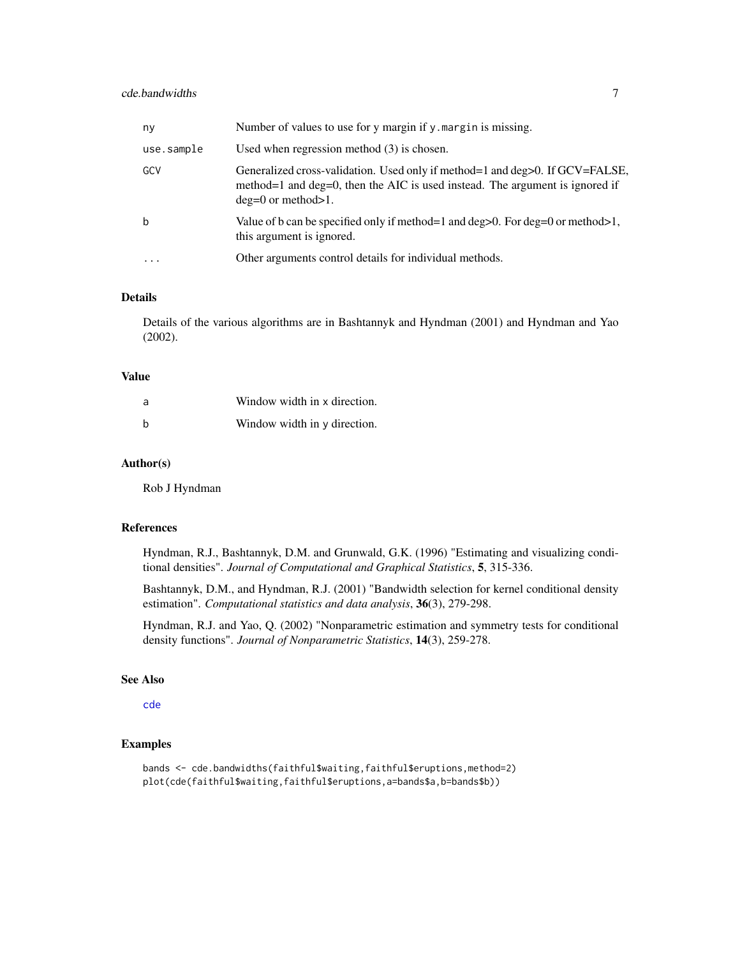# <span id="page-6-0"></span>cde.bandwidths 7

| ny                      | Number of values to use for y margin if y margin is missing.                                                                                                                           |
|-------------------------|----------------------------------------------------------------------------------------------------------------------------------------------------------------------------------------|
| use.sample              | Used when regression method $(3)$ is chosen.                                                                                                                                           |
| GCV                     | Generalized cross-validation. Used only if method=1 and deg>0. If GCV=FALSE,<br>method=1 and deg=0, then the AIC is used instead. The argument is ignored if<br>$deg=0$ or method > 1. |
| b                       | Value of b can be specified only if method=1 and $\text{deg} > 0$ . For $\text{deg} = 0$ or method >1,<br>this argument is ignored.                                                    |
| $\cdot$ $\cdot$ $\cdot$ | Other arguments control details for individual methods.                                                                                                                                |

### Details

Details of the various algorithms are in Bashtannyk and Hyndman (2001) and Hyndman and Yao (2002).

#### Value

| a | Window width in x direction. |
|---|------------------------------|
| b | Window width in y direction. |

#### Author(s)

Rob J Hyndman

#### References

Hyndman, R.J., Bashtannyk, D.M. and Grunwald, G.K. (1996) "Estimating and visualizing conditional densities". *Journal of Computational and Graphical Statistics*, 5, 315-336.

Bashtannyk, D.M., and Hyndman, R.J. (2001) "Bandwidth selection for kernel conditional density estimation". *Computational statistics and data analysis*, 36(3), 279-298.

Hyndman, R.J. and Yao, Q. (2002) "Nonparametric estimation and symmetry tests for conditional density functions". *Journal of Nonparametric Statistics*, 14(3), 259-278.

#### See Also

[cde](#page-2-1)

# Examples

bands <- cde.bandwidths(faithful\$waiting,faithful\$eruptions,method=2) plot(cde(faithful\$waiting,faithful\$eruptions,a=bands\$a,b=bands\$b))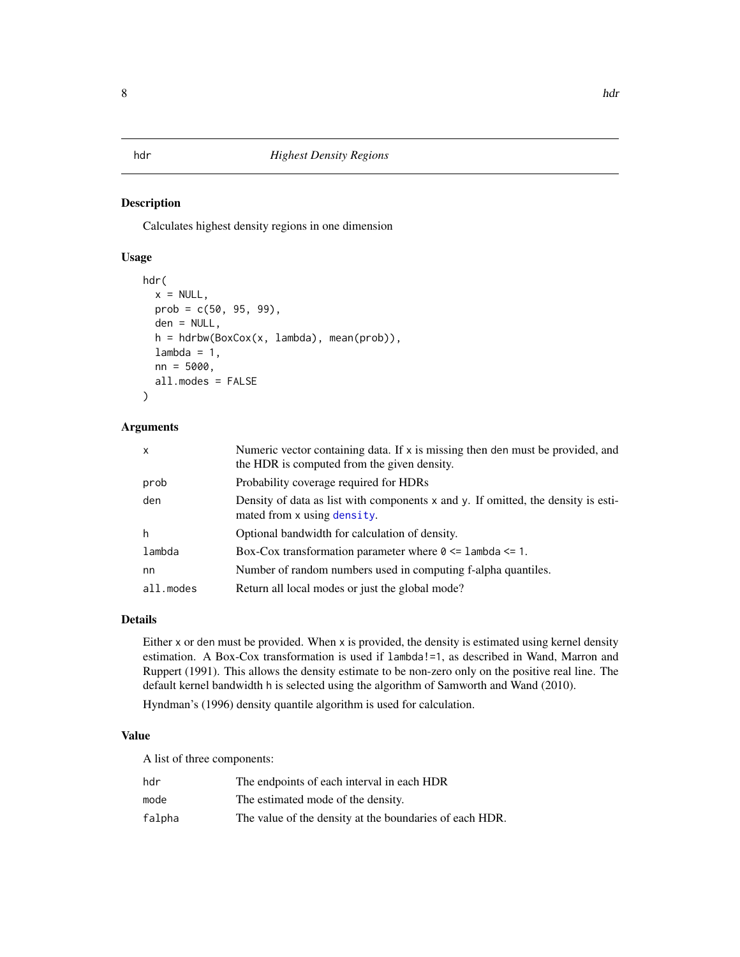#### <span id="page-7-1"></span><span id="page-7-0"></span>Description

Calculates highest density regions in one dimension

#### Usage

```
hdr(
  x = NULL,prob = c(50, 95, 99),
  den = NULL,
  h = hdrbw(BoxCox(x, lambda), mean(prob)),
  lambda = 1,
  nn = 5000,
  all.modes = FALSE
)
```
#### Arguments

| $\mathsf{x}$ | Numeric vector containing data. If x is missing then den must be provided, and<br>the HDR is computed from the given density. |
|--------------|-------------------------------------------------------------------------------------------------------------------------------|
| prob         | Probability coverage required for HDRs                                                                                        |
| den          | Density of data as list with components x and y. If omitted, the density is esti-<br>mated from x using density.              |
| h            | Optional bandwidth for calculation of density.                                                                                |
| lambda       | Box-Cox transformation parameter where $0 \leq 1$ ambda $\leq 1$ .                                                            |
| nn           | Number of random numbers used in computing f-alpha quantiles.                                                                 |
| all.modes    | Return all local modes or just the global mode?                                                                               |

### Details

Either x or den must be provided. When x is provided, the density is estimated using kernel density estimation. A Box-Cox transformation is used if lambda!=1, as described in Wand, Marron and Ruppert (1991). This allows the density estimate to be non-zero only on the positive real line. The default kernel bandwidth h is selected using the algorithm of Samworth and Wand (2010).

Hyndman's (1996) density quantile algorithm is used for calculation.

#### Value

A list of three components:

| hdr    | The endpoints of each interval in each HDR              |
|--------|---------------------------------------------------------|
| mode   | The estimated mode of the density.                      |
| falpha | The value of the density at the boundaries of each HDR. |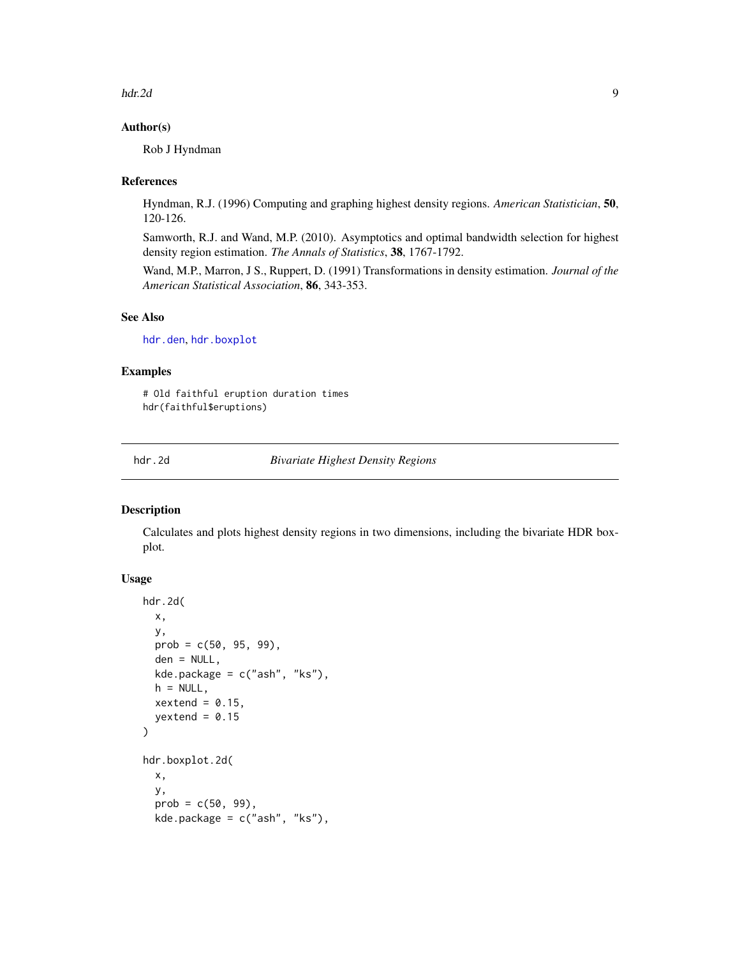<span id="page-8-0"></span>hdr.2d 9

#### Author(s)

Rob J Hyndman

#### References

Hyndman, R.J. (1996) Computing and graphing highest density regions. *American Statistician*, 50, 120-126.

Samworth, R.J. and Wand, M.P. (2010). Asymptotics and optimal bandwidth selection for highest density region estimation. *The Annals of Statistics*, 38, 1767-1792.

Wand, M.P., Marron, J S., Ruppert, D. (1991) Transformations in density estimation. *Journal of the American Statistical Association*, 86, 343-353.

# See Also

[hdr.den](#page-14-1), [hdr.boxplot](#page-10-1)

#### Examples

# Old faithful eruption duration times hdr(faithful\$eruptions)

hdr.2d *Bivariate Highest Density Regions*

#### <span id="page-8-1"></span>Description

Calculates and plots highest density regions in two dimensions, including the bivariate HDR boxplot.

#### Usage

```
hdr.2d(
  x,
  y,
  prob = c(50, 95, 99),
  den = NULL,
  kde.package = c("ash", "ks"),
  h = NULL,xextend = 0.15,
  yextend = 0.15\mathcal{L}hdr.boxplot.2d(
  x,
  y,
  prob = c(50, 99),
  kde.package = c("ash", "ks"),
```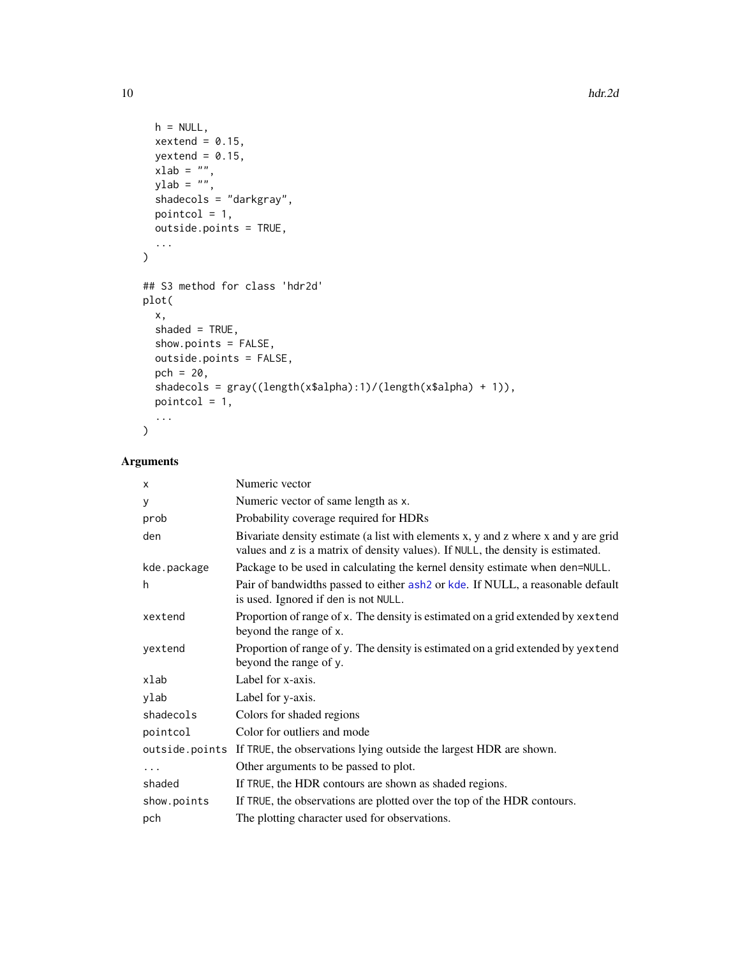```
h = NULL,xextend = 0.15,
 yextend = 0.15,
 xlab = "",
 ylab = \binom{m}{y}shadecols = "darkgray",
 pointcol = 1,
 outside.points = TRUE,
  ...
\mathcal{L}## S3 method for class 'hdr2d'
plot(
 x,
 shaded = TRUE,
  show.points = FALSE,
 outside.points = FALSE,
 pch = 20,
 shadecols = gray((length(x$alpha):1)/(length(x$alpha) + 1)),
 pointcol = 1,
  ...
\mathcal{L}
```

| X           | Numeric vector                                                                                                                                                        |
|-------------|-----------------------------------------------------------------------------------------------------------------------------------------------------------------------|
| У           | Numeric vector of same length as x.                                                                                                                                   |
| prob        | Probability coverage required for HDRs                                                                                                                                |
| den         | Bivariate density estimate (a list with elements x, y and z where x and y are grid<br>values and z is a matrix of density values). If NULL, the density is estimated. |
| kde.package | Package to be used in calculating the kernel density estimate when den=NULL.                                                                                          |
| h           | Pair of bandwidths passed to either ash2 or kde. If NULL, a reasonable default<br>is used. Ignored if den is not NULL.                                                |
| xextend     | Proportion of range of x. The density is estimated on a grid extended by xextend<br>beyond the range of x.                                                            |
| yextend     | Proportion of range of y. The density is estimated on a grid extended by yextend<br>beyond the range of y.                                                            |
| xlab        | Label for x-axis.                                                                                                                                                     |
| ylab        | Label for y-axis.                                                                                                                                                     |
| shadecols   | Colors for shaded regions                                                                                                                                             |
| pointcol    | Color for outliers and mode                                                                                                                                           |
|             | outside. points If TRUE, the observations lying outside the largest HDR are shown.                                                                                    |
| $\cdots$    | Other arguments to be passed to plot.                                                                                                                                 |
| shaded      | If TRUE, the HDR contours are shown as shaded regions.                                                                                                                |
| show.points | If TRUE, the observations are plotted over the top of the HDR contours.                                                                                               |
| pch         | The plotting character used for observations.                                                                                                                         |

<span id="page-9-0"></span>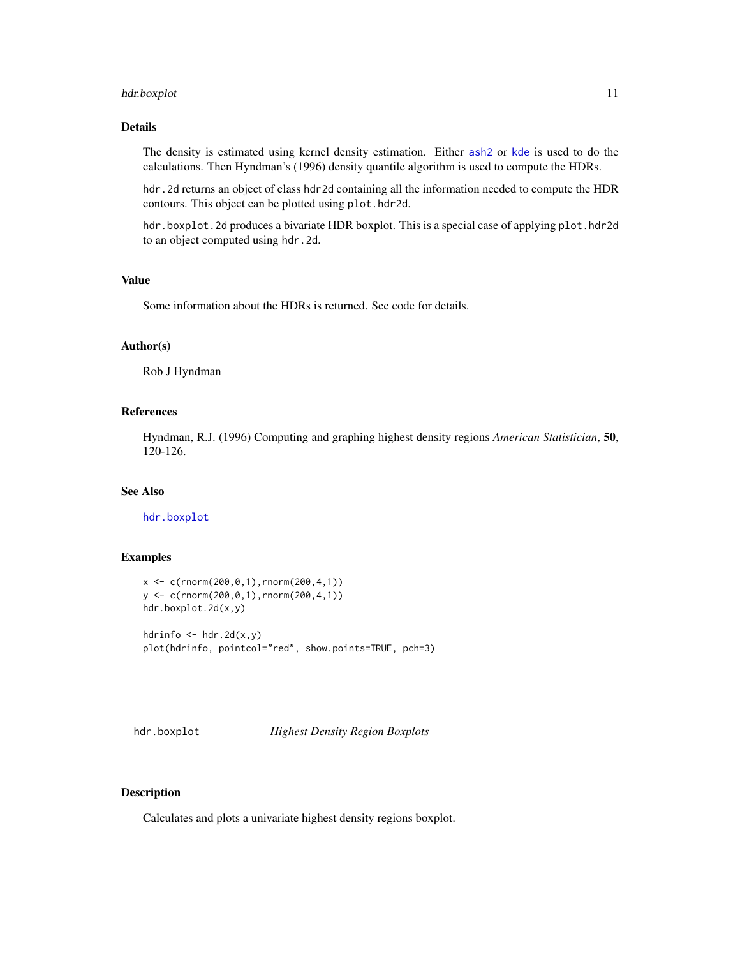# <span id="page-10-0"></span>hdr.boxplot 11

### Details

The density is estimated using kernel density estimation. Either [ash2](#page-0-0) or [kde](#page-0-0) is used to do the calculations. Then Hyndman's (1996) density quantile algorithm is used to compute the HDRs.

hdr. 2d returns an object of class hdr2d containing all the information needed to compute the HDR contours. This object can be plotted using plot.hdr2d.

hdr.boxplot.2d produces a bivariate HDR boxplot. This is a special case of applying plot.hdr2d to an object computed using hdr.2d.

#### Value

Some information about the HDRs is returned. See code for details.

# Author(s)

Rob J Hyndman

#### References

Hyndman, R.J. (1996) Computing and graphing highest density regions *American Statistician*, 50, 120-126.

# See Also

[hdr.boxplot](#page-10-1)

# Examples

```
x < -c(rnorm(200,0,1),rnorm(200,4,1))
y <- c(rnorm(200,0,1),rnorm(200,4,1))
hdr.boxplot.2d(x,y)
hdrinfo \leq - hdr. 2d(x, y)
plot(hdrinfo, pointcol="red", show.points=TRUE, pch=3)
```
<span id="page-10-1"></span>hdr.boxplot *Highest Density Region Boxplots*

# Description

Calculates and plots a univariate highest density regions boxplot.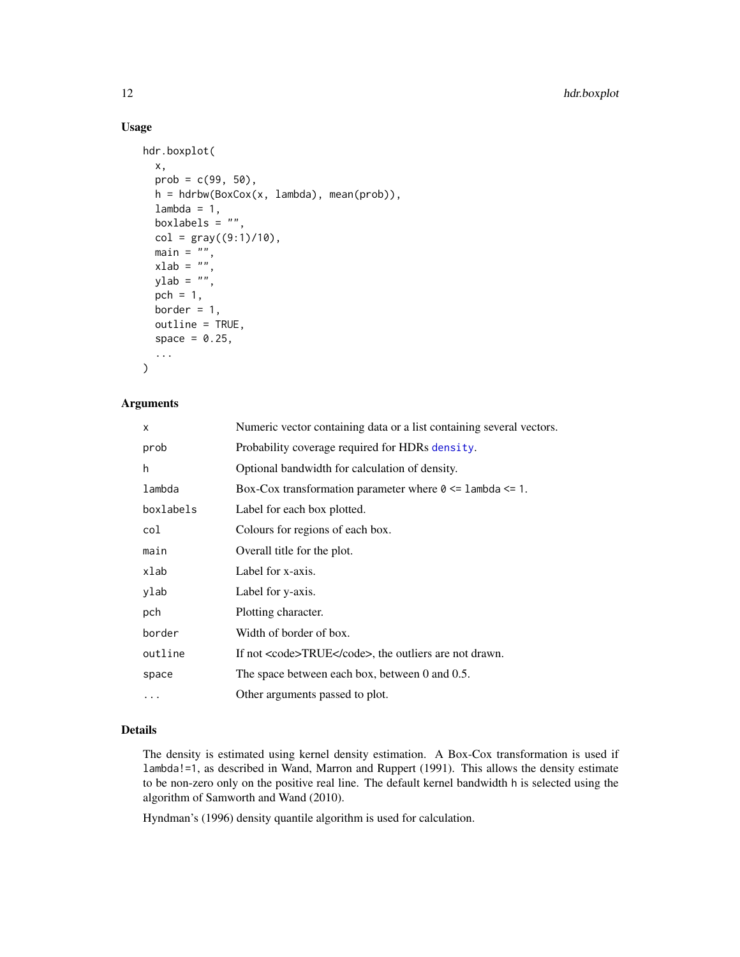# Usage

```
hdr.boxplot(
  x,
  prob = c(99, 50),
  h = hdrbw(BoxCox(x, lambda), mean(prob)),
  lambda = 1,
  boxlabels = ",
  col = gray((9:1)/10),
  \sum_{n=1}^{\infty} = \sum_{n=1}^{\infty}xlab = "",
  ylab = "",
  pch = 1,
  border = 1,
  outline = TRUE,
  space = 0.25,
  ...
\mathcal{L}
```
# Arguments

| x         | Numeric vector containing data or a list containing several vectors. |
|-----------|----------------------------------------------------------------------|
| prob      | Probability coverage required for HDRs density.                      |
| h         | Optional bandwidth for calculation of density.                       |
| lambda    | Box-Cox transformation parameter where $0 \leq 1$ ambda $\leq 1$ .   |
| boxlabels | Label for each box plotted.                                          |
| col       | Colours for regions of each box.                                     |
| main      | Overall title for the plot.                                          |
| xlab      | Label for x-axis.                                                    |
| ylab      | Label for y-axis.                                                    |
| pch       | Plotting character.                                                  |
| border    | Width of border of box.                                              |
| outline   | If not <code>TRUE</code> , the outliers are not drawn.               |
| space     | The space between each box, between 0 and 0.5.                       |
| .         | Other arguments passed to plot.                                      |

# Details

The density is estimated using kernel density estimation. A Box-Cox transformation is used if lambda!=1, as described in Wand, Marron and Ruppert (1991). This allows the density estimate to be non-zero only on the positive real line. The default kernel bandwidth h is selected using the algorithm of Samworth and Wand (2010).

Hyndman's (1996) density quantile algorithm is used for calculation.

<span id="page-11-0"></span>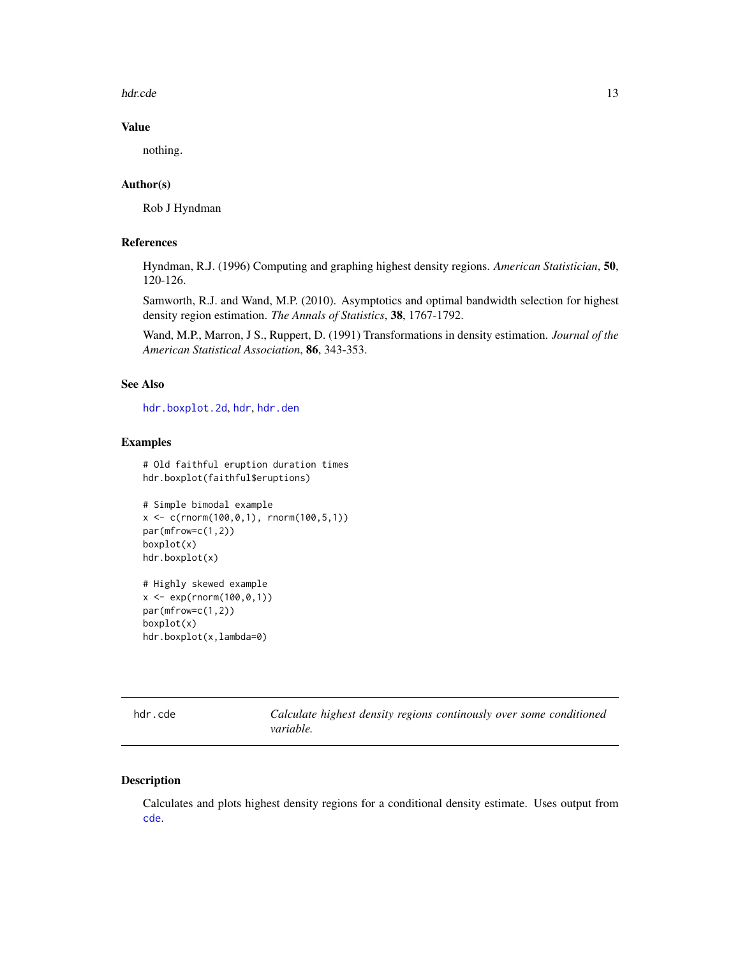<span id="page-12-0"></span>hdr.cde 13

#### Value

nothing.

# Author(s)

Rob J Hyndman

#### References

Hyndman, R.J. (1996) Computing and graphing highest density regions. *American Statistician*, 50, 120-126.

Samworth, R.J. and Wand, M.P. (2010). Asymptotics and optimal bandwidth selection for highest density region estimation. *The Annals of Statistics*, 38, 1767-1792.

Wand, M.P., Marron, J S., Ruppert, D. (1991) Transformations in density estimation. *Journal of the American Statistical Association*, 86, 343-353.

#### See Also

[hdr.boxplot.2d](#page-8-1), [hdr](#page-7-1), [hdr.den](#page-14-1)

#### Examples

```
# Old faithful eruption duration times
hdr.boxplot(faithful$eruptions)
```

```
# Simple bimodal example
x \leq -c(\text{rnorm}(100, 0, 1), \text{rnorm}(100, 5, 1))par(mfrow=c(1,2))
boxplot(x)
hdr.boxplot(x)
```

```
# Highly skewed example
x <- exp(rnorm(100,0,1))
par(mfrow=c(1,2))
boxplot(x)
hdr.boxplot(x,lambda=0)
```
<span id="page-12-1"></span>

hdr.cde *Calculate highest density regions continously over some conditioned variable.*

#### Description

Calculates and plots highest density regions for a conditional density estimate. Uses output from [cde](#page-2-1).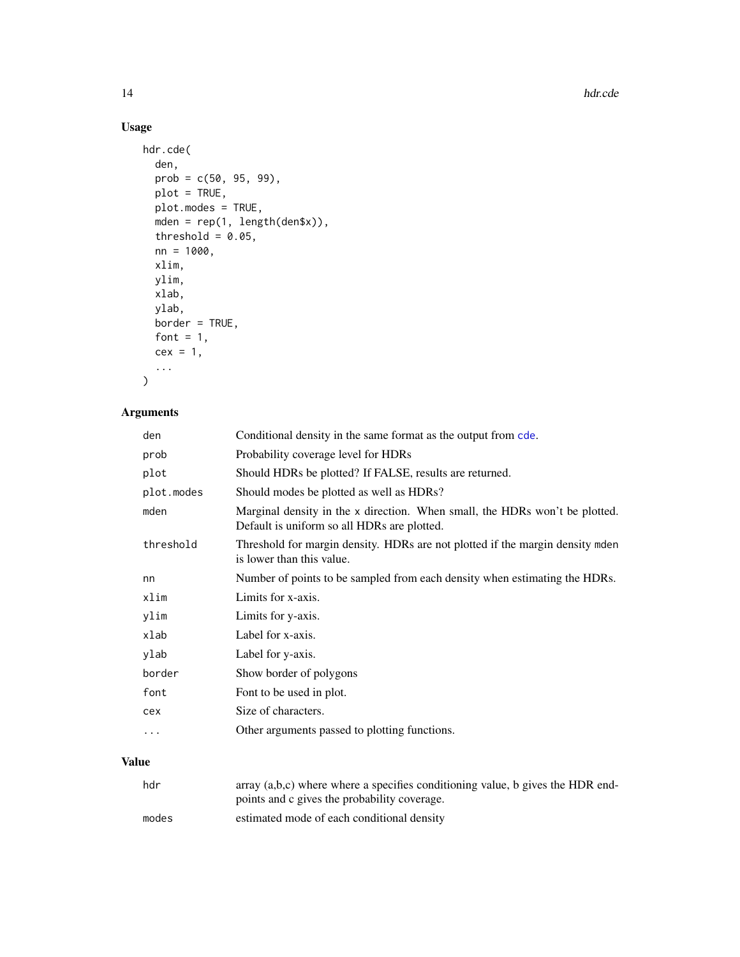# Usage

```
hdr.cde(
  den,
  prob = c(50, 95, 99),
  plot = TRUE,
  plot.modes = TRUE,
  mden = rep(1, length(den$x)),
  threshold = 0.05,
  nn = 1000,
  xlim,
  ylim,
  xlab,
  ylab,
  border = TRUE,
  font = 1,cex = 1,
  ...
\mathcal{L}
```
# Arguments

| den        | Conditional density in the same format as the output from cde.                                                             |
|------------|----------------------------------------------------------------------------------------------------------------------------|
| prob       | Probability coverage level for HDRs                                                                                        |
| plot       | Should HDRs be plotted? If FALSE, results are returned.                                                                    |
| plot.modes | Should modes be plotted as well as HDRs?                                                                                   |
| mden       | Marginal density in the x direction. When small, the HDRs won't be plotted.<br>Default is uniform so all HDRs are plotted. |
| threshold  | Threshold for margin density. HDRs are not plotted if the margin density mednes<br>is lower than this value.               |
| nn         | Number of points to be sampled from each density when estimating the HDRs.                                                 |
| xlim       | Limits for x-axis.                                                                                                         |
| ylim       | Limits for y-axis.                                                                                                         |
| xlab       | Label for x-axis.                                                                                                          |
| ylab       | Label for y-axis.                                                                                                          |
| border     | Show border of polygons                                                                                                    |
| font       | Font to be used in plot.                                                                                                   |
| cex        | Size of characters.                                                                                                        |
| $\cdots$   | Other arguments passed to plotting functions.                                                                              |

# Value

| hdr   | array $(a,b,c)$ where where a specifies conditioning value, b gives the HDR end- |
|-------|----------------------------------------------------------------------------------|
|       | points and c gives the probability coverage.                                     |
| modes | estimated mode of each conditional density                                       |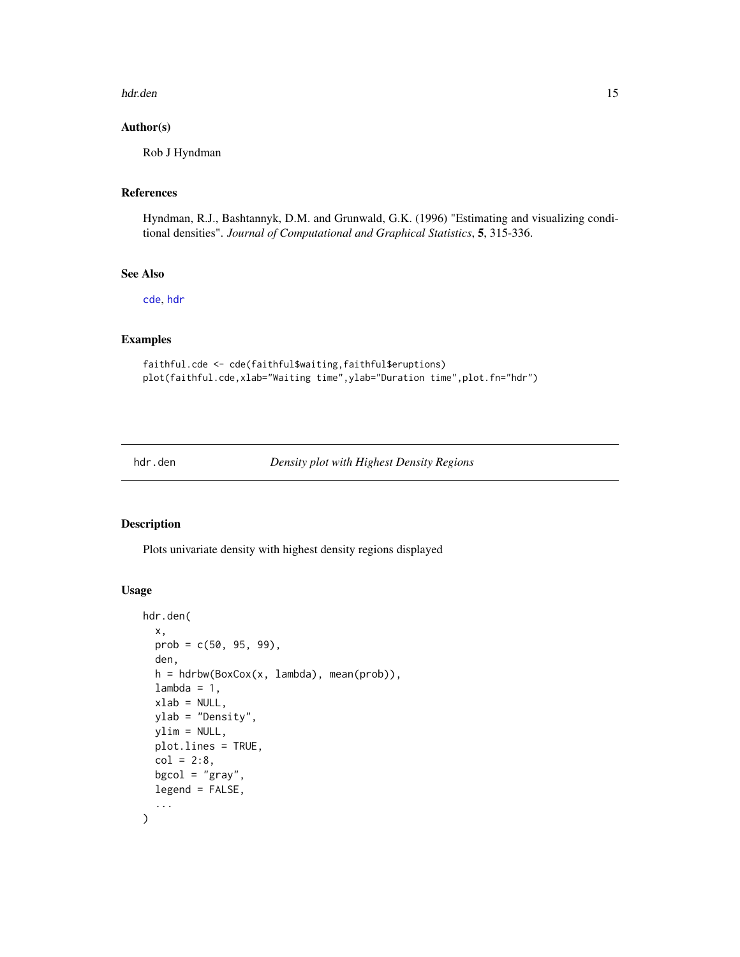#### <span id="page-14-0"></span>hdr.den 15

#### Author(s)

Rob J Hyndman

# References

Hyndman, R.J., Bashtannyk, D.M. and Grunwald, G.K. (1996) "Estimating and visualizing conditional densities". *Journal of Computational and Graphical Statistics*, 5, 315-336.

# See Also

[cde](#page-2-1), [hdr](#page-7-1)

# Examples

```
faithful.cde <- cde(faithful$waiting,faithful$eruptions)
plot(faithful.cde,xlab="Waiting time",ylab="Duration time",plot.fn="hdr")
```
<span id="page-14-1"></span>

#### hdr.den *Density plot with Highest Density Regions*

# Description

Plots univariate density with highest density regions displayed

# Usage

```
hdr.den(
  x,
 prob = c(50, 95, 99),
  den,
  h = hdrbw(BoxCox(x, lambda), mean(prob)),
  lambda = 1,
  xlab = NULL,
 ylab = "Density",
 ylim = NULL,
 plot.lines = TRUE,
  col = 2:8,
 bgcol = "gray",legend = FALSE,
  ...
)
```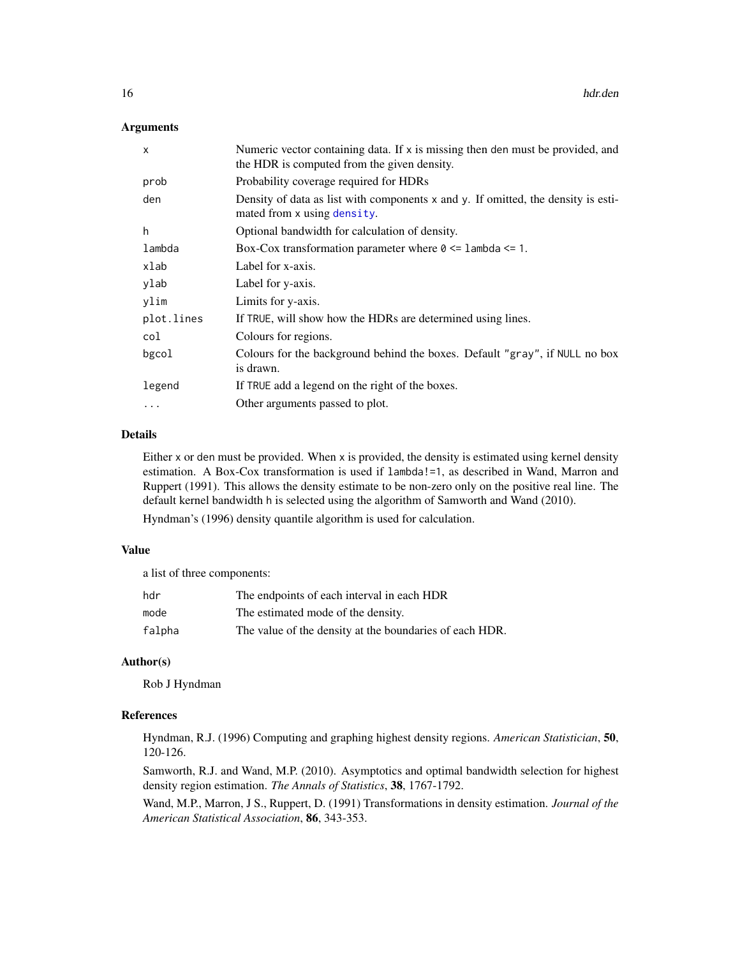#### <span id="page-15-0"></span>Arguments

| $\mathsf{x}$ | Numeric vector containing data. If x is missing then den must be provided, and<br>the HDR is computed from the given density. |
|--------------|-------------------------------------------------------------------------------------------------------------------------------|
| prob         | Probability coverage required for HDRs                                                                                        |
| den          | Density of data as list with components x and y. If omitted, the density is esti-<br>mated from x using density.              |
| h            | Optional bandwidth for calculation of density.                                                                                |
| lambda       | Box-Cox transformation parameter where $0 \leq 1$ ambda $\leq 1$ .                                                            |
| xlab         | Label for x-axis.                                                                                                             |
| ylab         | Label for y-axis.                                                                                                             |
| ylim         | Limits for y-axis.                                                                                                            |
| plot.lines   | If TRUE, will show how the HDRs are determined using lines.                                                                   |
| col          | Colours for regions.                                                                                                          |
| bgcol        | Colours for the background behind the boxes. Default "gray", if NULL no box<br>is drawn.                                      |
| legend       | If TRUE add a legend on the right of the boxes.                                                                               |
| $\cdot$      | Other arguments passed to plot.                                                                                               |
|              |                                                                                                                               |

# Details

Either x or den must be provided. When x is provided, the density is estimated using kernel density estimation. A Box-Cox transformation is used if lambda!=1, as described in Wand, Marron and Ruppert (1991). This allows the density estimate to be non-zero only on the positive real line. The default kernel bandwidth h is selected using the algorithm of Samworth and Wand (2010).

Hyndman's (1996) density quantile algorithm is used for calculation.

#### Value

a list of three components:

| hdr    | The endpoints of each interval in each HDR              |
|--------|---------------------------------------------------------|
| mode   | The estimated mode of the density.                      |
| falpha | The value of the density at the boundaries of each HDR. |

#### Author(s)

Rob J Hyndman

#### References

Hyndman, R.J. (1996) Computing and graphing highest density regions. *American Statistician*, 50, 120-126.

Samworth, R.J. and Wand, M.P. (2010). Asymptotics and optimal bandwidth selection for highest density region estimation. *The Annals of Statistics*, 38, 1767-1792.

Wand, M.P., Marron, J S., Ruppert, D. (1991) Transformations in density estimation. *Journal of the American Statistical Association*, 86, 343-353.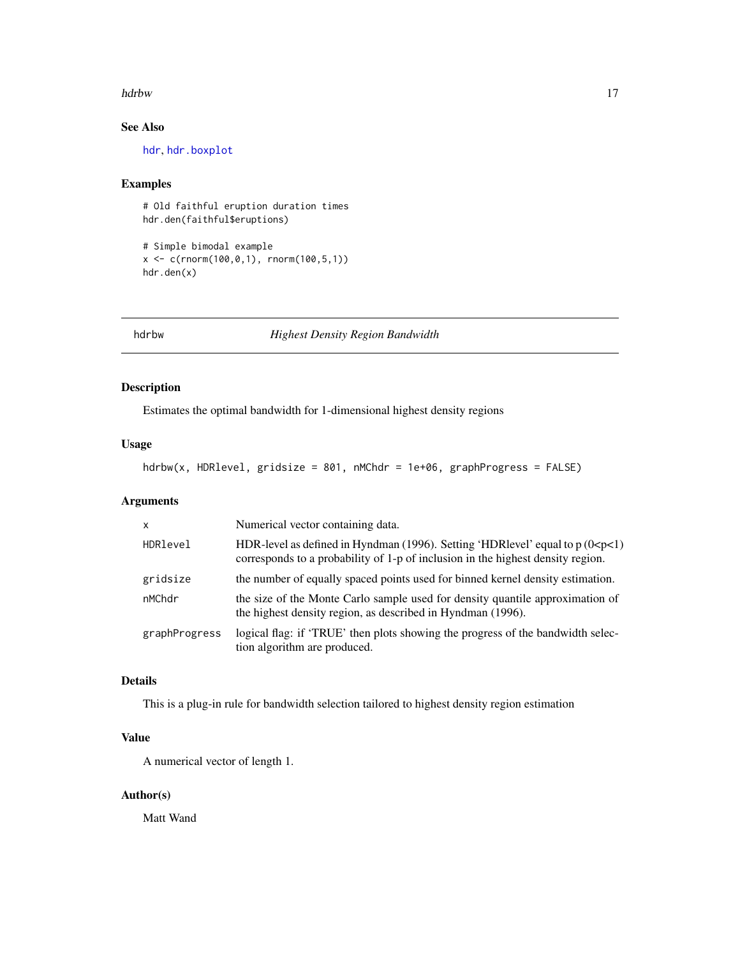#### <span id="page-16-0"></span>hdrbw the contract of the contract of the contract of the contract of the contract of the contract of the contract of the contract of the contract of the contract of the contract of the contract of the contract of the cont

# See Also

[hdr](#page-7-1), [hdr.boxplot](#page-10-1)

# Examples

# Old faithful eruption duration times hdr.den(faithful\$eruptions)

```
# Simple bimodal example
x \leq -c(\text{rnorm}(100, 0, 1), \text{rnorm}(100, 5, 1))hdr.den(x)
```
hdrbw *Highest Density Region Bandwidth*

# Description

Estimates the optimal bandwidth for 1-dimensional highest density regions

# Usage

```
hdrbw(x, HDRlevel, gridsize = 801, nMChdr = 1e+06, graphProgress = FALSE)
```
### Arguments

| $\mathsf{x}$  | Numerical vector containing data.                                                                                                                                     |  |
|---------------|-----------------------------------------------------------------------------------------------------------------------------------------------------------------------|--|
| HDRlevel      | HDR-level as defined in Hyndman (1996). Setting 'HDRlevel' equal to $p(0 < p < 1)$<br>corresponds to a probability of 1-p of inclusion in the highest density region. |  |
| gridsize      | the number of equally spaced points used for binned kernel density estimation.                                                                                        |  |
| nMChdr        | the size of the Monte Carlo sample used for density quantile approximation of<br>the highest density region, as described in Hyndman (1996).                          |  |
| graphProgress | logical flag: if 'TRUE' then plots showing the progress of the bandwidth selec-<br>tion algorithm are produced.                                                       |  |

# Details

This is a plug-in rule for bandwidth selection tailored to highest density region estimation

# Value

A numerical vector of length 1.

# Author(s)

Matt Wand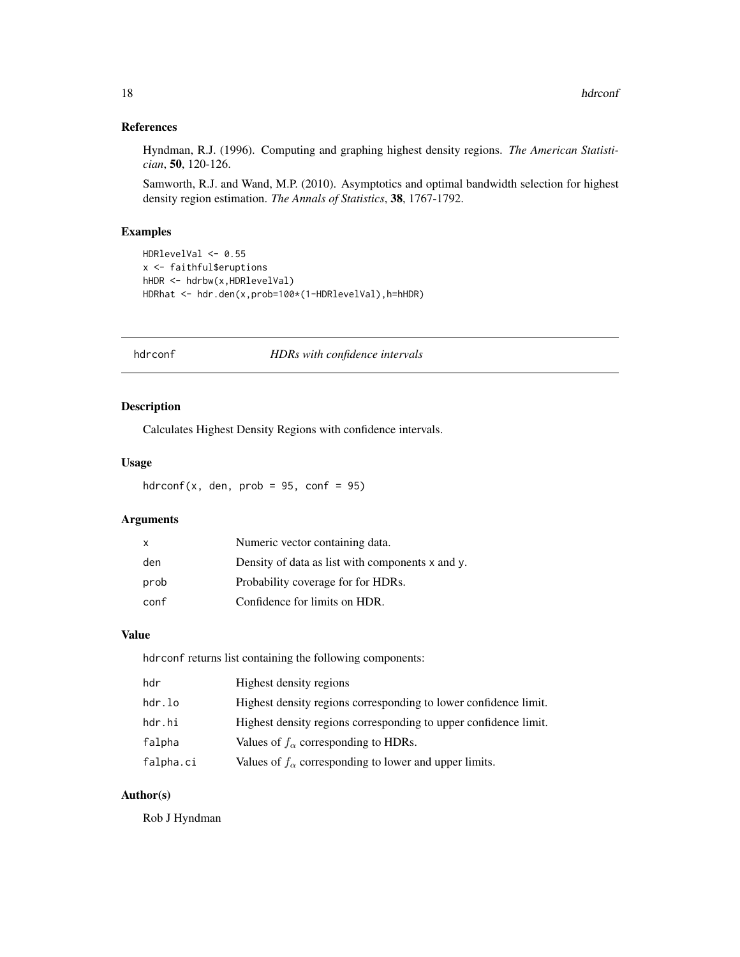#### <span id="page-17-0"></span>References

Hyndman, R.J. (1996). Computing and graphing highest density regions. *The American Statistician*, 50, 120-126.

Samworth, R.J. and Wand, M.P. (2010). Asymptotics and optimal bandwidth selection for highest density region estimation. *The Annals of Statistics*, 38, 1767-1792.

# Examples

```
HDRlevelVal <- 0.55
x <- faithful$eruptions
hHDR <- hdrbw(x,HDRlevelVal)
HDRhat <- hdr.den(x,prob=100*(1-HDRlevelVal),h=hHDR)
```
<span id="page-17-1"></span>

#### hdrconf *HDRs with confidence intervals*

#### Description

Calculates Highest Density Regions with confidence intervals.

#### Usage

hdrconf(x, den, prob = 95, conf = 95)

# Arguments

| $\mathsf{x}$ | Numeric vector containing data.                       |
|--------------|-------------------------------------------------------|
| den          | Density of data as list with components $x$ and $y$ . |
| prob         | Probability coverage for for HDRs.                    |
| conf         | Confidence for limits on HDR.                         |

#### Value

hdrconf returns list containing the following components:

| hdr       | Highest density regions                                          |
|-----------|------------------------------------------------------------------|
| hdr.lo    | Highest density regions corresponding to lower confidence limit. |
| hdr.hi    | Highest density regions corresponding to upper confidence limit. |
| falpha    | Values of $f_{\alpha}$ corresponding to HDRs.                    |
| falpha.ci | Values of $f_{\alpha}$ corresponding to lower and upper limits.  |

# Author(s)

Rob J Hyndman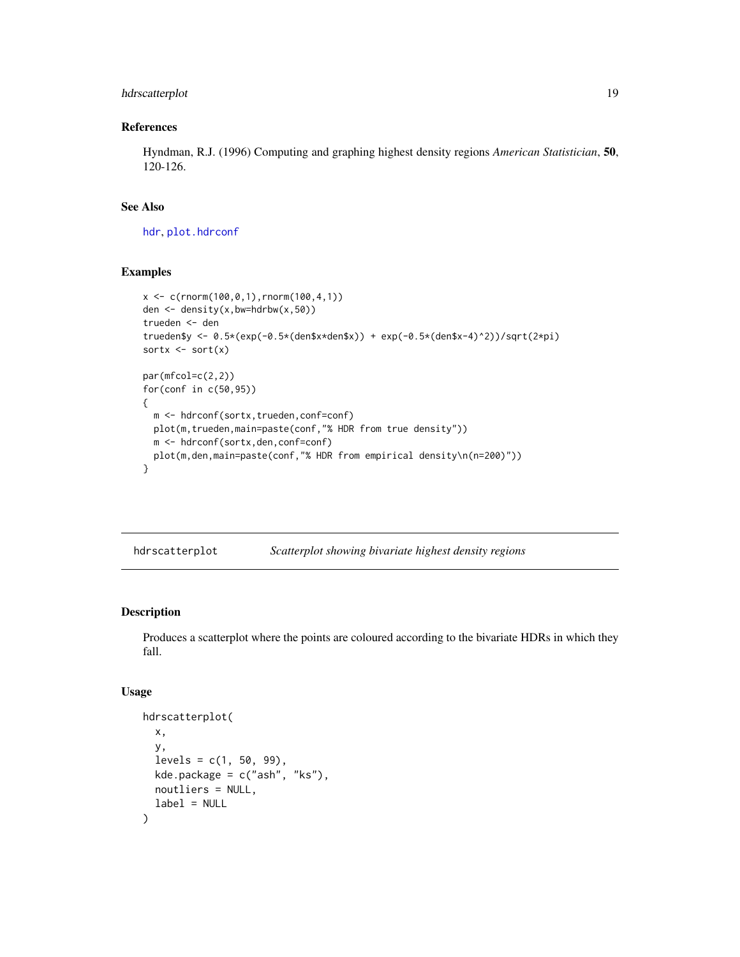# <span id="page-18-0"></span>hdrscatterplot 19

# References

Hyndman, R.J. (1996) Computing and graphing highest density regions *American Statistician*, 50, 120-126.

# See Also

[hdr](#page-7-1), [plot.hdrconf](#page-24-1)

# Examples

```
x \leq c(\text{rnorm}(100, 0, 1), \text{rnorm}(100, 4, 1))den <- density(x,bw=hdrbw(x,50))
trueden <- den
trueden$y <- 0.5*(exp(-0.5*(den$x*den$x)) + exp(-0.5*(den$x-4)^2))/sqrt(2*pi)
sortx \leq sort(x)par(mfcol=c(2,2))
for(conf in c(50,95))
{
  m <- hdrconf(sortx,trueden,conf=conf)
  plot(m,trueden,main=paste(conf,"% HDR from true density"))
  m <- hdrconf(sortx,den,conf=conf)
  plot(m,den,main=paste(conf,"% HDR from empirical density\n(n=200)"))
}
```

| hdrscatterplot | Scatterplot showing bivariate highest density regions |  |
|----------------|-------------------------------------------------------|--|
|                |                                                       |  |

# Description

Produces a scatterplot where the points are coloured according to the bivariate HDRs in which they fall.

#### Usage

```
hdrscatterplot(
 x,
 y,
 levels = c(1, 50, 99),
 kde.package = c("ash", "ks"),
 noutliers = NULL,
  label = NULL)
```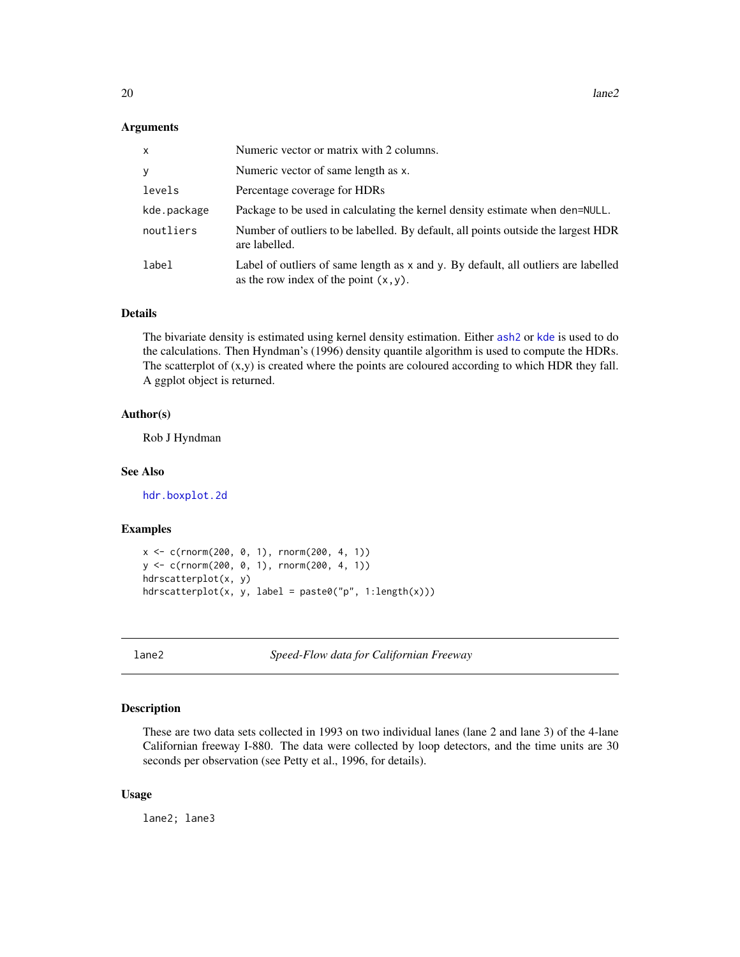#### <span id="page-19-0"></span>Arguments

| x           | Numeric vector or matrix with 2 columns.                                                                                       |
|-------------|--------------------------------------------------------------------------------------------------------------------------------|
| y           | Numeric vector of same length as x.                                                                                            |
| levels      | Percentage coverage for HDRs                                                                                                   |
| kde.package | Package to be used in calculating the kernel density estimate when den=NULL.                                                   |
| noutliers   | Number of outliers to be labelled. By default, all points outside the largest HDR<br>are labelled.                             |
| label       | Label of outliers of same length as x and y. By default, all outliers are labelled<br>as the row index of the point $(x, y)$ . |

# Details

The bivariate density is estimated using kernel density estimation. Either [ash2](#page-0-0) or [kde](#page-0-0) is used to do the calculations. Then Hyndman's (1996) density quantile algorithm is used to compute the HDRs. The scatterplot of  $(x,y)$  is created where the points are coloured according to which HDR they fall. A ggplot object is returned.

#### Author(s)

Rob J Hyndman

#### See Also

[hdr.boxplot.2d](#page-8-1)

#### Examples

```
x <- c(rnorm(200, 0, 1), rnorm(200, 4, 1))
y <- c(rnorm(200, 0, 1), rnorm(200, 4, 1))
hdrscatterplot(x, y)
hdrscatterplot(x, y, label = paste0("p", 1:length(x)))
```
lane2 *Speed-Flow data for Californian Freeway*

#### Description

These are two data sets collected in 1993 on two individual lanes (lane 2 and lane 3) of the 4-lane Californian freeway I-880. The data were collected by loop detectors, and the time units are 30 seconds per observation (see Petty et al., 1996, for details).

#### Usage

lane2; lane3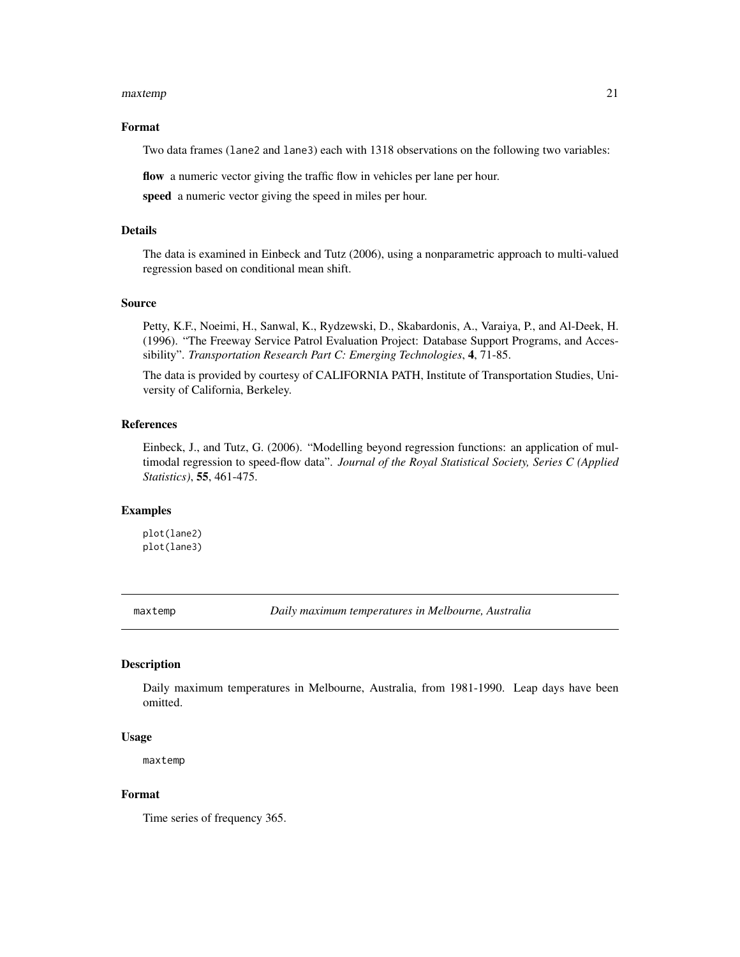#### <span id="page-20-0"></span>maxtemp 21

#### Format

Two data frames (lane2 and lane3) each with 1318 observations on the following two variables:

flow a numeric vector giving the traffic flow in vehicles per lane per hour.

speed a numeric vector giving the speed in miles per hour.

#### Details

The data is examined in Einbeck and Tutz (2006), using a nonparametric approach to multi-valued regression based on conditional mean shift.

#### Source

Petty, K.F., Noeimi, H., Sanwal, K., Rydzewski, D., Skabardonis, A., Varaiya, P., and Al-Deek, H. (1996). "The Freeway Service Patrol Evaluation Project: Database Support Programs, and Accessibility". *Transportation Research Part C: Emerging Technologies*, 4, 71-85.

The data is provided by courtesy of CALIFORNIA PATH, Institute of Transportation Studies, University of California, Berkeley.

#### References

Einbeck, J., and Tutz, G. (2006). "Modelling beyond regression functions: an application of multimodal regression to speed-flow data". *Journal of the Royal Statistical Society, Series C (Applied Statistics)*, 55, 461-475.

#### Examples

plot(lane2) plot(lane3)

maxtemp *Daily maximum temperatures in Melbourne, Australia*

#### Description

Daily maximum temperatures in Melbourne, Australia, from 1981-1990. Leap days have been omitted.

#### Usage

maxtemp

#### Format

Time series of frequency 365.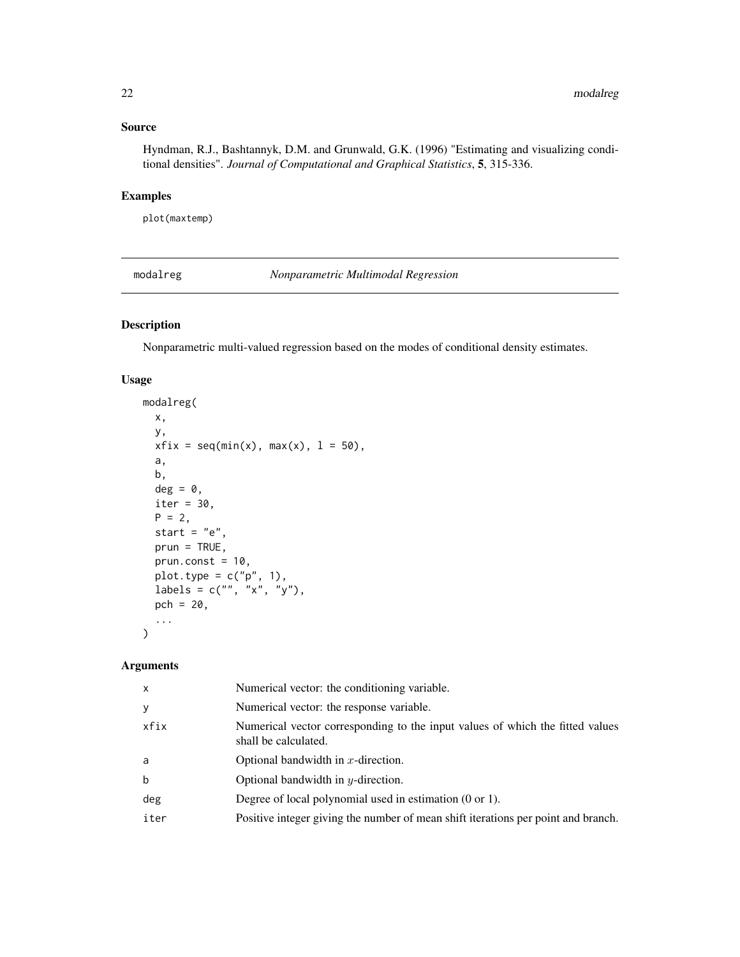# <span id="page-21-0"></span>Source

Hyndman, R.J., Bashtannyk, D.M. and Grunwald, G.K. (1996) "Estimating and visualizing conditional densities". *Journal of Computational and Graphical Statistics*, 5, 315-336.

# Examples

plot(maxtemp)

modalreg *Nonparametric Multimodal Regression*

# Description

Nonparametric multi-valued regression based on the modes of conditional density estimates.

# Usage

```
modalreg(
  x,
 y,
 xfix = seq(min(x), max(x), 1 = 50),
 a,
 b,
 deg = 0,
  iter = 30,
 P = 2,start = "e",prun = TRUE,prun.const = 10,
 plot.type = c("p", 1),
  labels = c("", "x", "y"),
  pch = 20,
  ...
\mathcal{L}
```

| $\mathsf{x}$ | Numerical vector: the conditioning variable.                                                          |
|--------------|-------------------------------------------------------------------------------------------------------|
| <b>y</b>     | Numerical vector: the response variable.                                                              |
| xfix         | Numerical vector corresponding to the input values of which the fitted values<br>shall be calculated. |
| a            | Optional bandwidth in $x$ -direction.                                                                 |
| b            | Optional bandwidth in $y$ -direction.                                                                 |
| deg          | Degree of local polynomial used in estimation $(0 \text{ or } 1)$ .                                   |
| iter         | Positive integer giving the number of mean shift iterations per point and branch.                     |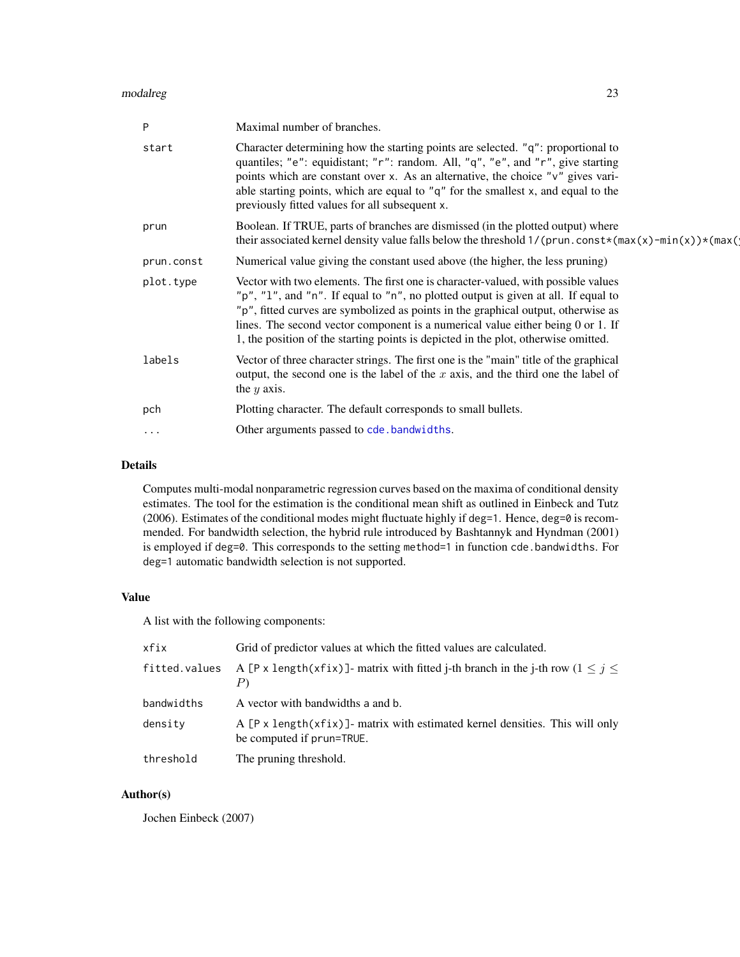#### <span id="page-22-0"></span>modalreg 23

| P          | Maximal number of branches.                                                                                                                                                                                                                                                                                                                                                                                                           |
|------------|---------------------------------------------------------------------------------------------------------------------------------------------------------------------------------------------------------------------------------------------------------------------------------------------------------------------------------------------------------------------------------------------------------------------------------------|
| start      | Character determining how the starting points are selected. "q": proportional to<br>quantiles; "e": equidistant; "r": random. All, "q", "e", and "r", give starting<br>points which are constant over x. As an alternative, the choice "v" gives vari-<br>able starting points, which are equal to " $q$ " for the smallest x, and equal to the<br>previously fitted values for all subsequent x.                                     |
| prun       | Boolean. If TRUE, parts of branches are dismissed (in the plotted output) where<br>their associated kernel density value falls below the threshold $1/(prun.const*(max(x)-min(x))*(max(n))$                                                                                                                                                                                                                                           |
| prun.const | Numerical value giving the constant used above (the higher, the less pruning)                                                                                                                                                                                                                                                                                                                                                         |
| plot.type  | Vector with two elements. The first one is character-valued, with possible values<br>"p", "1", and "n". If equal to "n", no plotted output is given at all. If equal to<br>"p", fitted curves are symbolized as points in the graphical output, otherwise as<br>lines. The second vector component is a numerical value either being 0 or 1. If<br>1, the position of the starting points is depicted in the plot, otherwise omitted. |
| labels     | Vector of three character strings. The first one is the "main" title of the graphical<br>output, the second one is the label of the $x$ axis, and the third one the label of<br>the $y$ axis.                                                                                                                                                                                                                                         |
| pch        | Plotting character. The default corresponds to small bullets.                                                                                                                                                                                                                                                                                                                                                                         |
| $\cdot$    | Other arguments passed to cde.bandwidths.                                                                                                                                                                                                                                                                                                                                                                                             |
|            |                                                                                                                                                                                                                                                                                                                                                                                                                                       |

# Details

Computes multi-modal nonparametric regression curves based on the maxima of conditional density estimates. The tool for the estimation is the conditional mean shift as outlined in Einbeck and Tutz (2006). Estimates of the conditional modes might fluctuate highly if deg=1. Hence, deg=0 is recommended. For bandwidth selection, the hybrid rule introduced by Bashtannyk and Hyndman (2001) is employed if deg=0. This corresponds to the setting method=1 in function cde.bandwidths. For deg=1 automatic bandwidth selection is not supported.

# Value

A list with the following components:

| xfix          | Grid of predictor values at which the fitted values are calculated.                                               |  |
|---------------|-------------------------------------------------------------------------------------------------------------------|--|
| fitted.values | A [P x length(xfix)] - matrix with fitted j-th branch in the j-th row $(1 \le j \le k)$                           |  |
| bandwidths    | A vector with bandwidths a and b.                                                                                 |  |
| density       | A $[P \times length(xfix)]$ - matrix with estimated kernel densities. This will only<br>be computed if prun=TRUE. |  |
| threshold     | The pruning threshold.                                                                                            |  |

# Author(s)

Jochen Einbeck (2007)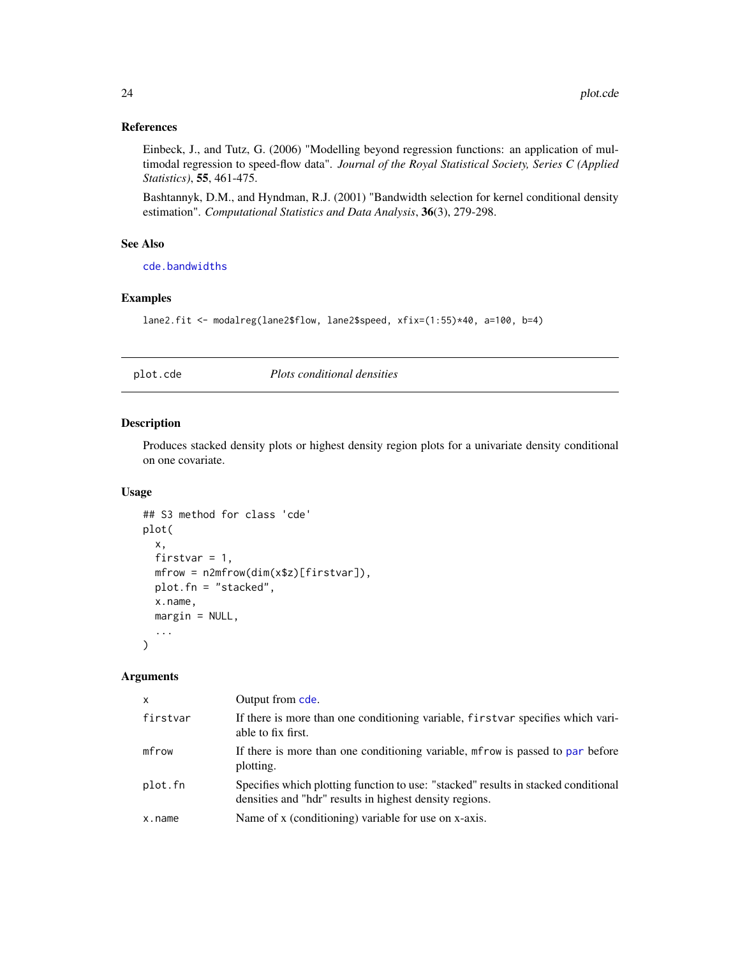#### <span id="page-23-0"></span>References

Einbeck, J., and Tutz, G. (2006) "Modelling beyond regression functions: an application of multimodal regression to speed-flow data". *Journal of the Royal Statistical Society, Series C (Applied Statistics)*, 55, 461-475.

Bashtannyk, D.M., and Hyndman, R.J. (2001) "Bandwidth selection for kernel conditional density estimation". *Computational Statistics and Data Analysis*, 36(3), 279-298.

# See Also

[cde.bandwidths](#page-5-1)

#### Examples

lane2.fit <- modalreg(lane2\$flow, lane2\$speed, xfix=(1:55)\*40, a=100, b=4)

plot.cde *Plots conditional densities*

#### Description

Produces stacked density plots or highest density region plots for a univariate density conditional on one covariate.

# Usage

```
## S3 method for class 'cde'
plot(
 x,
  firstvar = 1,
 mfrow = n2mfrow(dim(x$z)[firstvar]),
 plot.fn = "stacked",
  x.name,
 margin = NULL,
  ...
)
```

| X        | Output from cde.                                                                                                                              |
|----------|-----------------------------------------------------------------------------------------------------------------------------------------------|
| firstvar | If there is more than one conditioning variable, first var specifies which vari-<br>able to fix first.                                        |
| mfrow    | If there is more than one conditioning variable, method is passed to par before<br>plotting.                                                  |
| plot.fn  | Specifies which plotting function to use: "stacked" results in stacked conditional<br>densities and "hdr" results in highest density regions. |
| x.name   | Name of x (conditioning) variable for use on x-axis.                                                                                          |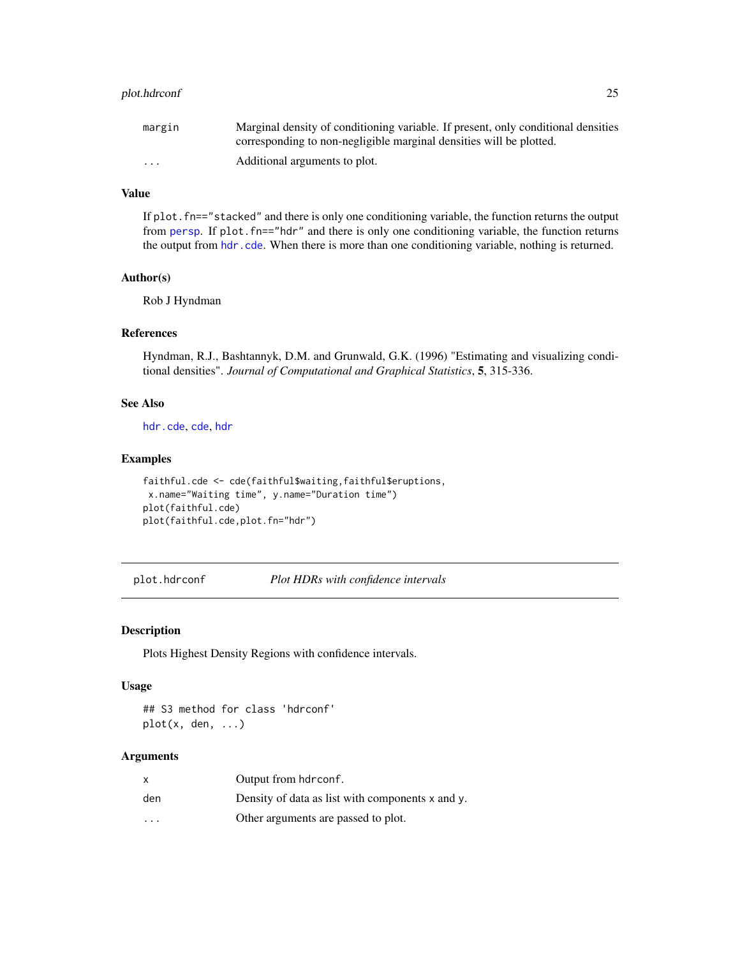# <span id="page-24-0"></span>plot.hdrconf 25

| margin                  | Marginal density of conditioning variable. If present, only conditional densities |
|-------------------------|-----------------------------------------------------------------------------------|
|                         | corresponding to non-negligible marginal densities will be plotted.               |
| $\cdot$ $\cdot$ $\cdot$ | Additional arguments to plot.                                                     |

# Value

If plot. fn=="stacked" and there is only one conditioning variable, the function returns the output from [persp](#page-0-0). If plot.fn=="hdr" and there is only one conditioning variable, the function returns the output from [hdr.cde](#page-12-1). When there is more than one conditioning variable, nothing is returned.

# Author(s)

Rob J Hyndman

# References

Hyndman, R.J., Bashtannyk, D.M. and Grunwald, G.K. (1996) "Estimating and visualizing conditional densities". *Journal of Computational and Graphical Statistics*, 5, 315-336.

#### See Also

[hdr.cde](#page-12-1), [cde](#page-2-1), [hdr](#page-7-1)

# Examples

```
faithful.cde <- cde(faithful$waiting,faithful$eruptions,
x.name="Waiting time", y.name="Duration time")
plot(faithful.cde)
plot(faithful.cde,plot.fn="hdr")
```
<span id="page-24-1"></span>plot.hdrconf *Plot HDRs with confidence intervals*

#### Description

Plots Highest Density Regions with confidence intervals.

#### Usage

## S3 method for class 'hdrconf' plot(x, den, ...)

| x       | Output from hdrconf.                                  |
|---------|-------------------------------------------------------|
| den     | Density of data as list with components $x$ and $y$ . |
| $\cdot$ | Other arguments are passed to plot.                   |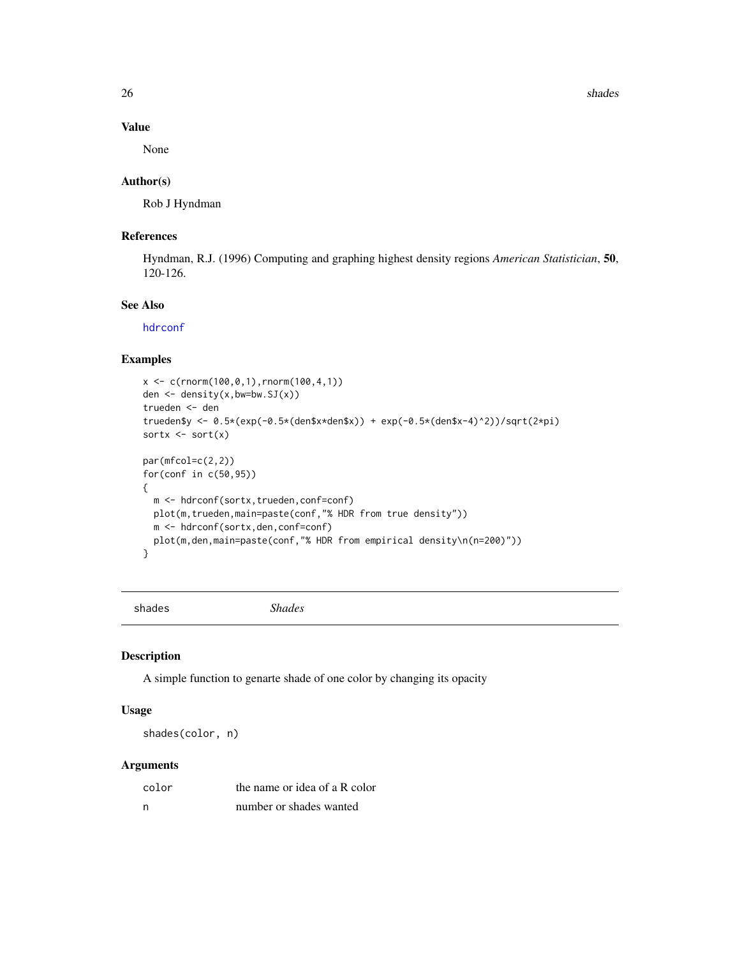26 shades are shaded as the shades of the shades shades are shaded as  $\frac{1}{2}$  shades shades as  $\frac{1}{2}$  shades are shaded as  $\frac{1}{2}$  shades are shaded as  $\frac{1}{2}$  shades are shaded as  $\frac{1}{2}$  shades are shaded as

# Value

None

### Author(s)

Rob J Hyndman

# References

Hyndman, R.J. (1996) Computing and graphing highest density regions *American Statistician*, 50, 120-126.

# See Also

[hdrconf](#page-17-1)

# Examples

```
x < -c(rnorm(100,0,1),rnorm(100,4,1))
den <- density(x,bw=bw.SJ(x))
trueden <- den
trueden$y <- 0.5*(exp(-0.5*(den$x*den$x)) + exp(-0.5*(den$x-4)^2))/sqrt(2*pi)
sortx \leq sort(x)par(mfcol=c(2,2))
for(conf in c(50,95))
{
  m <- hdrconf(sortx,trueden,conf=conf)
  plot(m,trueden,main=paste(conf,"% HDR from true density"))
  m <- hdrconf(sortx,den,conf=conf)
  plot(m,den,main=paste(conf,"% HDR from empirical density\n(n=200)"))
}
```
shades *Shades*

#### Description

A simple function to genarte shade of one color by changing its opacity

#### Usage

shades(color, n)

| color | the name or idea of a R color |
|-------|-------------------------------|
| - n   | number or shades wanted       |

<span id="page-25-0"></span>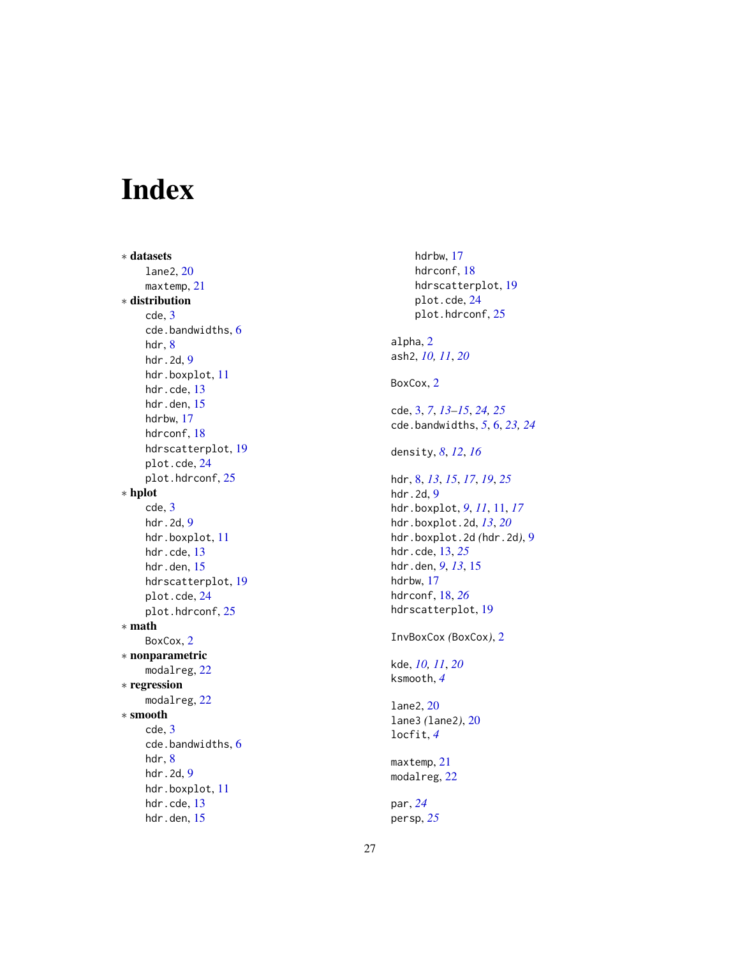# <span id="page-26-0"></span>Index

∗ datasets lane2 , [20](#page-19-0) maxtemp , [21](#page-20-0) ∗ distribution cde , [3](#page-2-0) cde.bandwidths , [6](#page-5-0) hdr , [8](#page-7-0) hdr.2d, [9](#page-8-0) hdr.boxplot , [11](#page-10-0) hdr.cde, [13](#page-12-0) hdr.den, [15](#page-14-0) hdrbw , [17](#page-16-0) hdrconf, [18](#page-17-0) hdrscatterplot , [19](#page-18-0) plot.cde , [24](#page-23-0) plot.hdrconf, [25](#page-24-0) ∗ hplot cde , [3](#page-2-0) hdr.2d, [9](#page-8-0) hdr.boxplot , [11](#page-10-0) hdr.cde, [13](#page-12-0) hdr.den, [15](#page-14-0) hdrscatterplot , [19](#page-18-0) plot.cde , [24](#page-23-0) plot.hdrconf, [25](#page-24-0) ∗ math BoxCox, [2](#page-1-0) ∗ nonparametric modalreg, [22](#page-21-0) ∗ regression modalreg, [22](#page-21-0) ∗ smooth cde , [3](#page-2-0) cde.bandwidths , [6](#page-5-0) hdr , [8](#page-7-0) hdr.2d, [9](#page-8-0) hdr.boxplot , [11](#page-10-0) hdr.cde, [13](#page-12-0) hdr.den, [15](#page-14-0)

hdrbw , [17](#page-16-0) hdrconf , [18](#page-17-0) hdrscatterplot , [19](#page-18-0) plot.cde , [24](#page-23-0) plot.hdrconf , [25](#page-24-0) alpha , [2](#page-1-0) ash2 , *[10](#page-9-0) , [11](#page-10-0)* , *[20](#page-19-0)* BoxCox, [2](#page-1-0) cde , [3](#page-2-0) , *[7](#page-6-0)* , *[13](#page-12-0) [–15](#page-14-0)* , *[24](#page-23-0) , [25](#page-24-0)* cde.bandwidths , *[5](#page-4-0)* , [6](#page-5-0) , *[23](#page-22-0) , [24](#page-23-0)* density , *[8](#page-7-0)* , *[12](#page-11-0)* , *[16](#page-15-0)* hdr , [8](#page-7-0) , *[13](#page-12-0)* , *[15](#page-14-0)* , *[17](#page-16-0)* , *[19](#page-18-0)* , *[25](#page-24-0)* hdr.2d, [9](#page-8-0) hdr.boxplot , *[9](#page-8-0)* , *[11](#page-10-0)* , [11](#page-10-0) , *[17](#page-16-0)* hdr.boxplot.2d , *[13](#page-12-0)* , *[20](#page-19-0)* hdr.boxplot.2d *(*hdr.2d *)* , [9](#page-8-0) hdr.cde , [13](#page-12-0) , *[25](#page-24-0)* hdr.den , *[9](#page-8-0)* , *[13](#page-12-0)* , [15](#page-14-0) hdrbw , [17](#page-16-0) hdrconf , [18](#page-17-0) , *[26](#page-25-0)* hdrscatterplot , [19](#page-18-0) InvBoxCox *(*BoxCox *)* , [2](#page-1-0) kde , *[10](#page-9-0) , [11](#page-10-0)* , *[20](#page-19-0)* ksmooth , *[4](#page-3-0)* lane2 , [20](#page-19-0) lane3 *(*lane2 *)* , [20](#page-19-0) locfit , *[4](#page-3-0)* maxtemp, [21](#page-20-0) modalreg, [22](#page-21-0) par , *[24](#page-23-0)* persp , *[25](#page-24-0)*